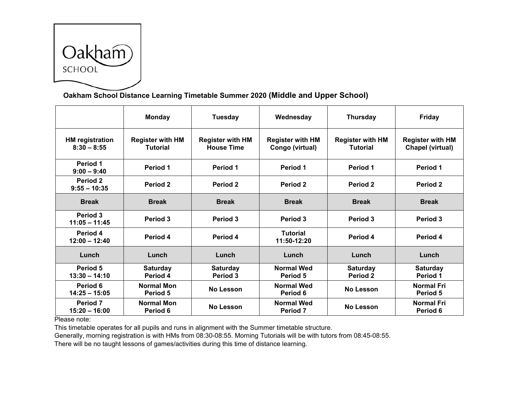

## **Oakham School Distance Learning Timetable Summer 2020 (Middle and Upper School)**

|                                         | <b>Monday</b>                              | Tuesday                                      | Wednesday                                  | <b>Thursday</b>                            | <b>Friday</b>                                      |
|-----------------------------------------|--------------------------------------------|----------------------------------------------|--------------------------------------------|--------------------------------------------|----------------------------------------------------|
| <b>HM</b> registration<br>$8:30 - 8:55$ | <b>Register with HM</b><br><b>Tutorial</b> | <b>Register with HM</b><br><b>House Time</b> | <b>Register with HM</b><br>Congo (virtual) | <b>Register with HM</b><br><b>Tutorial</b> | <b>Register with HM</b><br><b>Chapel (virtual)</b> |
| Period 1<br>$9:00 - 9:40$               | Period 1                                   | Period 1                                     | Period 1                                   | <b>Period 1</b>                            | Period 1                                           |
| Period <sub>2</sub><br>$9:55 - 10:35$   | Period 2                                   | Period 2                                     | Period 2                                   | Period <sub>2</sub>                        | <b>Period 2</b>                                    |
| <b>Break</b>                            | <b>Break</b>                               | <b>Break</b>                                 | <b>Break</b>                               | <b>Break</b>                               | <b>Break</b>                                       |
| Period 3<br>$11:05 - 11:45$             | Period 3                                   | Period 3                                     | Period 3                                   | Period 3                                   | Period 3                                           |
| Period 4<br>$12:00 - 12:40$             | Period 4                                   | Period 4                                     | <b>Tutorial</b><br>11:50-12:20             | Period 4                                   | Period 4                                           |
| Lunch                                   | Lunch                                      | Lunch                                        | Lunch                                      | Lunch                                      | Lunch                                              |
| Period 5<br>$13:30 - 14:10$             | <b>Saturday</b><br>Period 4                | <b>Saturday</b><br>Period 3                  | <b>Normal Wed</b><br>Period 5              | <b>Saturday</b><br><b>Period 2</b>         | <b>Saturday</b><br>Period 1                        |
| Period 6<br>$14:25 - 15:05$             | Normal Mon<br>Period 5                     | No Lesson                                    | <b>Normal Wed</b><br>Period 6              | No Lesson                                  | <b>Normal Fri</b><br><b>Period 5</b>               |
| Period <sub>7</sub><br>$15:20 - 16:00$  | <b>Normal Mon</b><br>Period 6              | No Lesson                                    | <b>Normal Wed</b><br><b>Period 7</b>       | <b>No Lesson</b>                           | <b>Normal Fri</b><br>Period 6                      |

Please note:

This timetable operates for all pupils and runs in alignment with the Summer timetable structure.

Generally, morning registration is with HMs from 08:30-08:55. Morning Tutorials will be with tutors from 08:45-08:55.

There will be no taught lessons of games/activities during this time of distance learning.